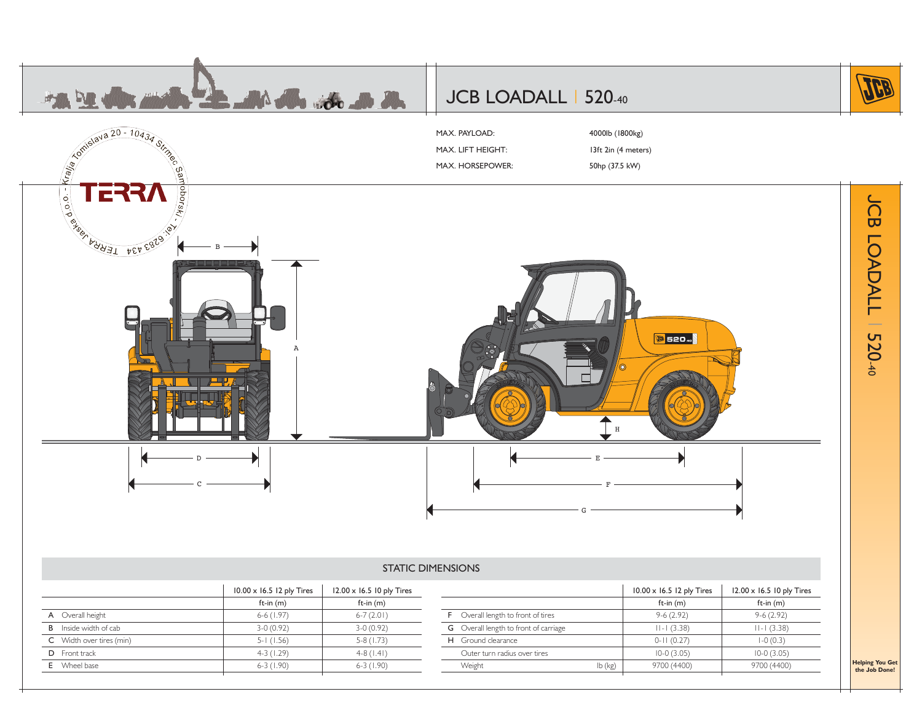

**C** Width over tires (min)  $5-1$  (1.56)  $1$  5-8 (1.73) D Front track 4-3 (1.29) 4-8 (1.41) E Wheel base 6-3 (1.90) 6-3 (1.90)

| н | Ground clearance             |         | J-<br>$\cup$ . $\angle$ | $-0(0.3)$    |  |
|---|------------------------------|---------|-------------------------|--------------|--|
|   | Outer turn radius over tires |         | 10-0 (3.05)             | $10-0(3.05)$ |  |
|   | Weight                       | lb (kg) | (4400)<br>9700          | 9700 (4400)  |  |

**Helping You Get the Job Done!**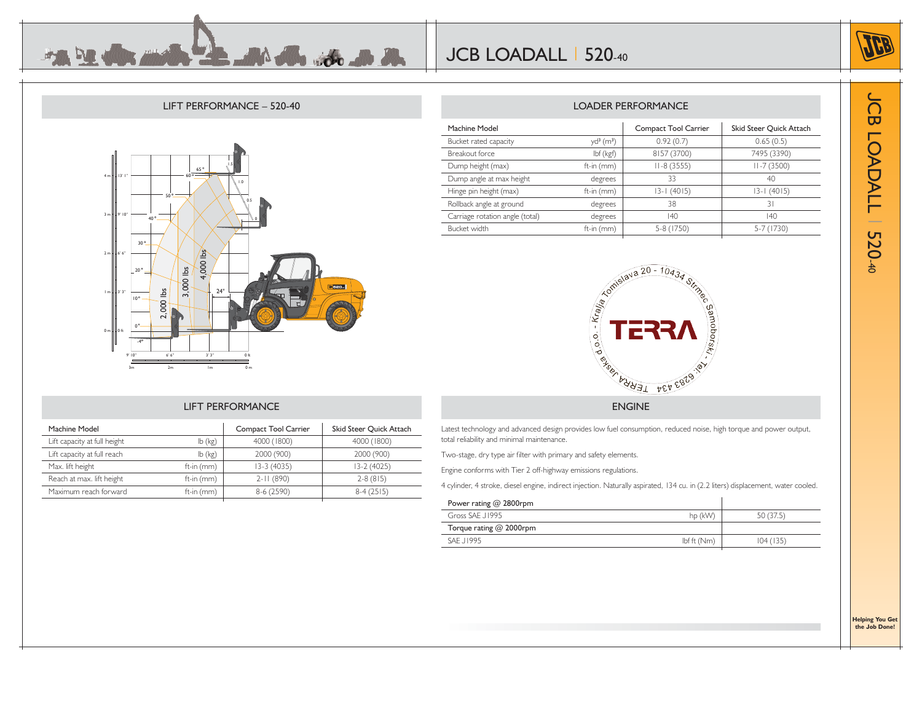

 $\Omega$ 

## LIFT PERFORMANCE – 520-40

**MA de son de de** 



Machine Model **Compact Tool Carrier** Skid Steer Quick Attach Lift capacity at full height lb (kg) 4000 (1800) 4000 (1800) Lift capacity at full reach lb (kg) 2000 (900) 2000 (900) 2000 (900) Max. lift height ft-in (mm) 13-3 (4035) 13-2 (4025) Reach at max. lift height ft-in (mm) 2-11 (890) 2-8 (815) Maximum reach forward ft-in (mm) 8-6 (2590) 8-4 (2515)

LIFT PERFORMANCE

## LOADER PERFORMANCE

| Machine Model                   |                            | <b>Compact Tool Carrier</b> | Skid Steer Quick Attach |
|---------------------------------|----------------------------|-----------------------------|-------------------------|
| Bucket rated capacity           | $yd^{3}$ (m <sup>3</sup> ) | 0.92(0.7)                   | 0.65(0.5)               |
| Breakout force                  | lbf (kgf)                  | 8157 (3700)                 | 7495 (3390)             |
| Dump height (max)               | ft-in (mm)                 | $II - 8(3555)$              | $II - 7(3500)$          |
| Dump angle at max height        | degrees                    | 33                          | 40                      |
| Hinge pin height (max)          | ft-in (mm)                 | 13-1 (4015)                 | $13 - 1$ (4015)         |
| Rollback angle at ground        | degrees                    | 38                          | 31                      |
| Carriage rotation angle (total) | degrees                    | 140                         | $ 40\rangle$            |
| Bucket width                    | ft-in (mm)                 | 5-8 (1750)                  | 5-7 (1730)              |
|                                 |                            |                             |                         |



## ENGINE

Latest technology and advanced design provides low fuel consumption, reduced noise, high torque and power output, total reliability and minimal maintenance.

Two-stage, dry type air filter with primary and safety elements.

Engine conforms with Tier 2 off-highway emissions regulations.

4 cylinder, 4 stroke, diesel engine, indirect injection. Naturally aspirated, 134 cu. in (2.2 liters) displacement, water cooled.

| Power rating $@$ 2800rpm |            |           |
|--------------------------|------------|-----------|
| Gross SAF J1995          | hp (kW)    | 50 (37.5) |
| Torque rating @ 2000rpm  |            |           |
| SAF 11995                | Ibf(f(Nm)) | 104(135)  |

JCB LOADALL  $\overline{\mathbf{u}}$ **OADALL** 520-40

**Helping You Get the Job Done!**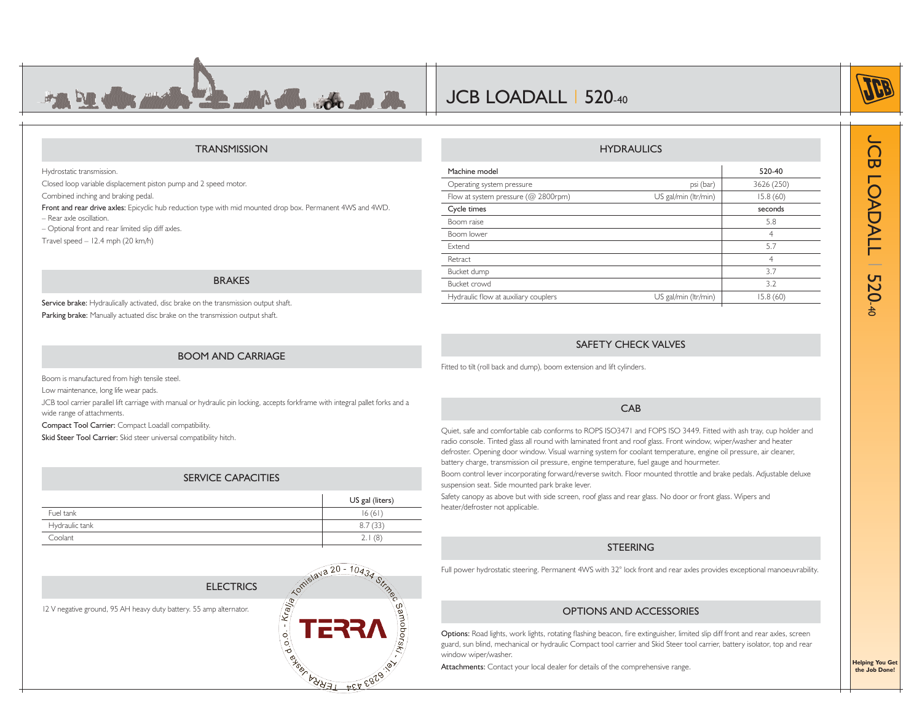

## JCB LOADALL | 520-40

Boom lower

Bucket crowd

Extend

Retract

## **TRANSMISSION**

Hydrostatic transmission.

Closed loop variable displacement piston pump and 2 speed motor.

Combined inching and braking pedal.

**Front and rear drive axles:** Epicyclic hub reduction type with mid mounted drop box. Permanent 4WS and 4WD.

– Rear axle oscillation.

– Optional front and rear limited slip diff axles.

Travel speed – 12.4 mph (20 km/h)

## BRAKES

Service brake: Hydraulically activated, disc brake on the transmission output shaft. Parking brake: Manually actuated disc brake on the transmission output shaft.

## BOOM AND CARRIAGE

Boom is manufactured from high tensile steel.

Low maintenance, long life wear pads.

JCB tool carrier parallel lift carriage with manual or hydraulic pin locking, accepts forkframe with integral pallet forks and a wide range of attachments.

Compact Tool Carrier: Compact Loadall compatibility.

**Skid Steer Tool Carrier:** Skid steer universal compatibility hitch.

## SERVICE CAPACITIES

|                | US gal (liters) |
|----------------|-----------------|
| Fuel tank      | 16(61)          |
| Hydraulic tank | 8.7(33)         |
| Coolant        | (8)<br>2.1      |
|                |                 |



| Machine model                          |                      | 520-40     |
|----------------------------------------|----------------------|------------|
| Operating system pressure              | psi (bar)            | 3626 (250) |
| Flow at system pressure ( $@$ 2800rpm) | US gal/min (ltr/min) | 15.8(60)   |
| Cycle times                            |                      | seconds    |
| Boom raise                             |                      |            |

**HYDRAULICS** 

 $\mathsf{r}$  and  $\mathsf{r}$  and  $\mathsf{r}$  and  $\mathsf{r}$  and  $\mathsf{r}$  and  $\mathsf{r}$  and  $\mathsf{r}$  and  $\mathsf{r}$  and  $\mathsf{r}$  and  $\mathsf{r}$  and  $\mathsf{r}$  and  $\mathsf{r}$  and  $\mathsf{r}$  and  $\mathsf{r}$  and  $\mathsf{r}$  and  $\mathsf{r}$  and  $\mathsf{r}$  and

d 5.7

t to the contract of the contract of the contract of the contract of the contract of the contract of the contract of the contract of the contract of the contract of the contract of the contract of the contract of the contr Bucket dump 3.7

## SAFETY CHECK VALVES

d 3.2 Hydraulic flow at auxiliary couplers **Example 15.8 (60)** US gal/min (ltr/min) 15.8 (60)

Fitted to tilt (roll back and dump), boom extension and lift cylinders.

#### CAB

Quiet, safe and comfortable cab conforms to ROPS ISO3471 and FOPS ISO 3449. Fitted with ash tray, cup holder and radio console. Tinted glass all round with laminated front and roof glass. Front window, wiper/washer and heater defroster. Opening door window. Visual warning system for coolant temperature, engine oil pressure, air cleaner, battery charge, transmission oil pressure, engine temperature, fuel gauge and hourmeter.

Boom control lever incorporating forward/reverse switch. Floor mounted throttle and brake pedals. Adjustable deluxe suspension seat. Side mounted park brake lever.

Safety canopy as above but with side screen, roof glass and rear glass. No door or front glass. Wipers and heater/defroster not applicable.

## STEERING

Full power hydrostatic steering. Permanent 4WS with 32° lock front and rear axles provides exceptional manoeuvrability.

## OPTIONS AND ACCESSORIES

Options: Road lights, work lights, rotating flashing beacon, fire extinguisher, limited slip diff front and rear axles, screen guard, sun blind, mechanical or hydraulic Compact tool carrier and Skid Steer tool carrier, battery isolator, top and rear window wiper/washer.

**Attachments:** Contact your local dealer for details of the comprehensive range.